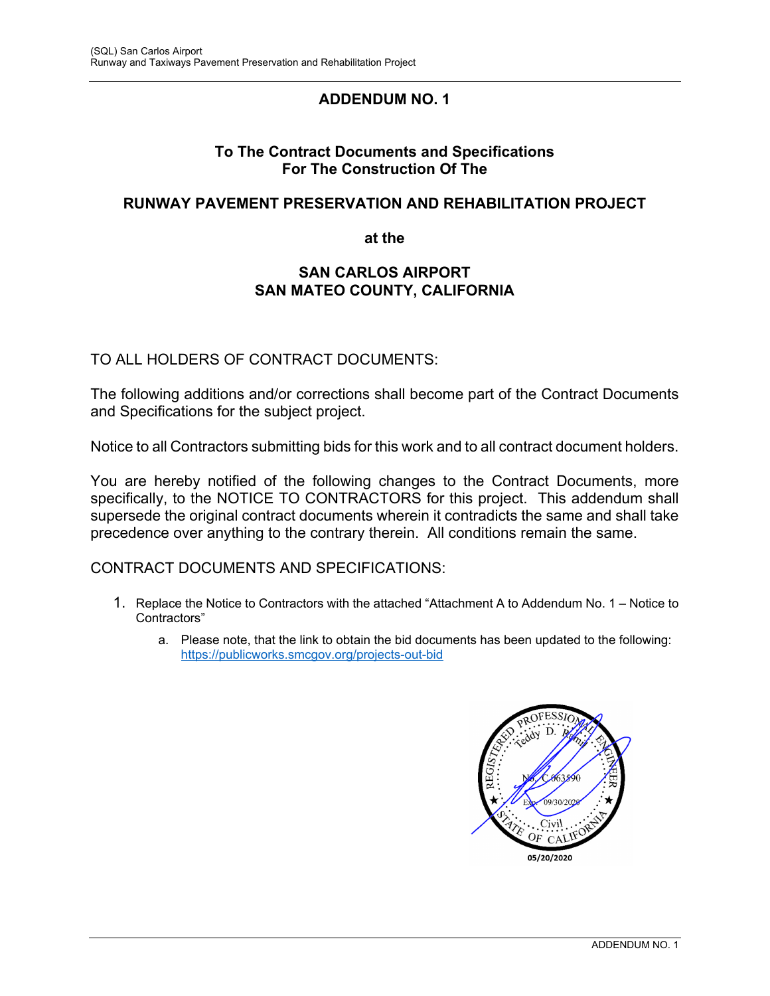# **ADDENDUM NO. 1**

## **To The Contract Documents and Specifications For The Construction Of The**

## **RUNWAY PAVEMENT PRESERVATION AND REHABILITATION PROJECT**

**at the** 

## **SAN CARLOS AIRPORT SAN MATEO COUNTY, CALIFORNIA**

## TO ALL HOLDERS OF CONTRACT DOCUMENTS:

The following additions and/or corrections shall become part of the Contract Documents and Specifications for the subject project.

Notice to all Contractors submitting bids for this work and to all contract document holders.

You are hereby notified of the following changes to the Contract Documents, more specifically, to the NOTICE TO CONTRACTORS for this project. This addendum shall supersede the original contract documents wherein it contradicts the same and shall take precedence over anything to the contrary therein. All conditions remain the same.

#### CONTRACT DOCUMENTS AND SPECIFICATIONS:

- 1. Replace the Notice to Contractors with the attached "Attachment A to Addendum No. 1 Notice to Contractors"
	- a. Please note, that the link to obtain the bid documents has been updated to the following: https://publicworks.smcgov.org/projects-out-bid

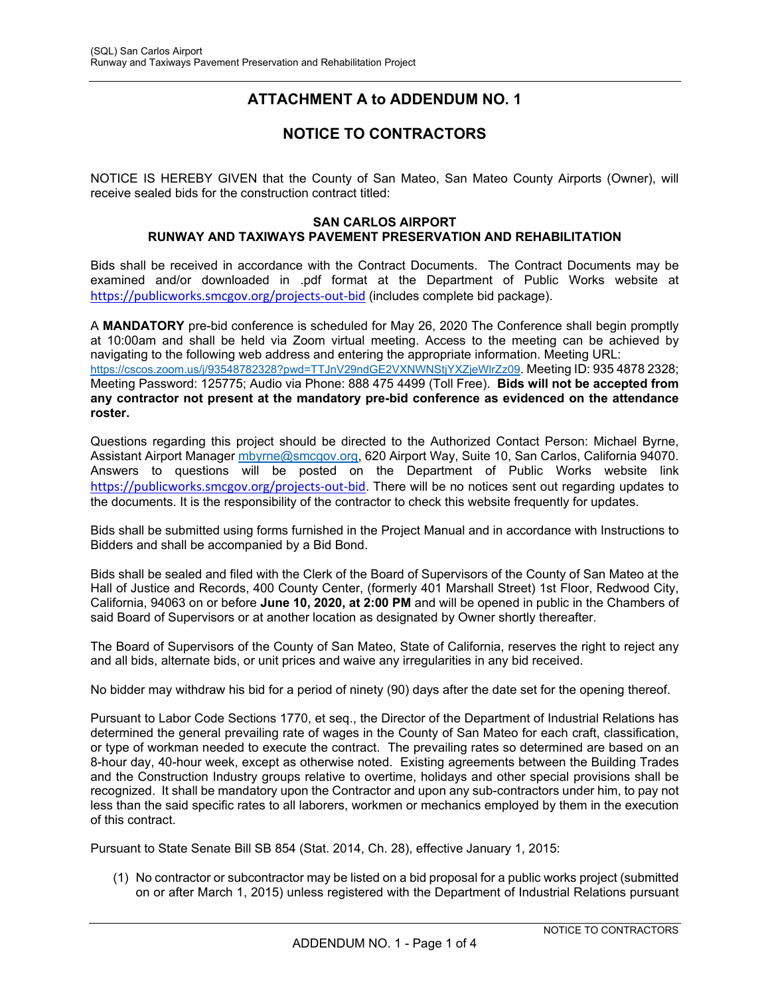# **ATTACHMENT A to ADDENDUM NO. 1**

# **NOTICE TO CONTRACTORS**

NOTICE IS HEREBY GIVEN that the County of San Mateo, San Mateo County Airports (Owner), will receive sealed bids for the construction contract titled:

#### **SAN CARLOS AIRPORT RUNWAY AND TAXIWAYS PAVEMENT PRESERVATION AND REHABILITATION**

Bids shall be received in accordance with the Contract Documents. The Contract Documents may be examined and/or downloaded in .pdf format at the Department of Public Works website at https://publicworks.smcgov.org/projects‐out‐bid (includes complete bid package).

A **MANDATORY** pre-bid conference is scheduled for May 26, 2020 The Conference shall begin promptly at 10:00am and shall be held via Zoom virtual meeting. Access to the meeting can be achieved by navigating to the following web address and entering the appropriate information. Meeting URL: https://cscos.zoom.us/j/93548782328?pwd=TTJnV29ndGE2VXNWNStjYXZjeWlrZz09. Meeting ID: 935 4878 2328; Meeting Password: 125775; Audio via Phone: 888 475 4499 (Toll Free). **Bids will not be accepted from any contractor not present at the mandatory pre-bid conference as evidenced on the attendance roster.**

Questions regarding this project should be directed to the Authorized Contact Person: Michael Byrne, Assistant Airport Manager mbyrne@smcgov.org, 620 Airport Way, Suite 10, San Carlos, California 94070. Answers to questions will be posted on the Department of Public Works website link https://publicworks.smcgov.org/projects-out-bid. There will be no notices sent out regarding updates to the documents. It is the responsibility of the contractor to check this website frequently for updates.

Bids shall be submitted using forms furnished in the Project Manual and in accordance with Instructions to Bidders and shall be accompanied by a Bid Bond.

Bids shall be sealed and filed with the Clerk of the Board of Supervisors of the County of San Mateo at the Hall of Justice and Records, 400 County Center, (formerly 401 Marshall Street) 1st Floor, Redwood City, California, 94063 on or before **June 10, 2020, at 2:00 PM** and will be opened in public in the Chambers of said Board of Supervisors or at another location as designated by Owner shortly thereafter.

The Board of Supervisors of the County of San Mateo, State of California, reserves the right to reject any and all bids, alternate bids, or unit prices and waive any irregularities in any bid received.

No bidder may withdraw his bid for a period of ninety (90) days after the date set for the opening thereof.

Pursuant to Labor Code Sections 1770, et seq., the Director of the Department of Industrial Relations has determined the general prevailing rate of wages in the County of San Mateo for each craft, classification, or type of workman needed to execute the contract. The prevailing rates so determined are based on an 8-hour day, 40-hour week, except as otherwise noted. Existing agreements between the Building Trades and the Construction Industry groups relative to overtime, holidays and other special provisions shall be recognized. It shall be mandatory upon the Contractor and upon any sub-contractors under him, to pay not less than the said specific rates to all laborers, workmen or mechanics employed by them in the execution of this contract.

Pursuant to State Senate Bill SB 854 (Stat. 2014, Ch. 28), effective January 1, 2015:

(1) No contractor or subcontractor may be listed on a bid proposal for a public works project (submitted on or after March 1, 2015) unless registered with the Department of Industrial Relations pursuant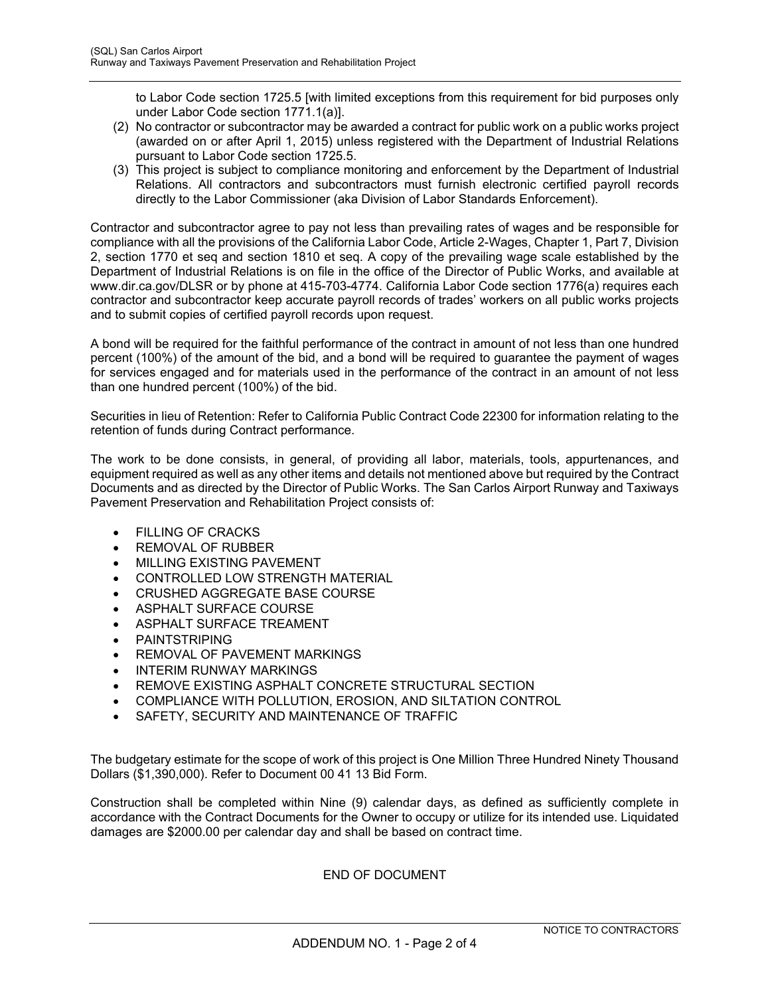to Labor Code section 1725.5 [with limited exceptions from this requirement for bid purposes only under Labor Code section 1771.1(a)].

- (2) No contractor or subcontractor may be awarded a contract for public work on a public works project (awarded on or after April 1, 2015) unless registered with the Department of Industrial Relations pursuant to Labor Code section 1725.5.
- (3) This project is subject to compliance monitoring and enforcement by the Department of Industrial Relations. All contractors and subcontractors must furnish electronic certified payroll records directly to the Labor Commissioner (aka Division of Labor Standards Enforcement).

Contractor and subcontractor agree to pay not less than prevailing rates of wages and be responsible for compliance with all the provisions of the California Labor Code, Article 2-Wages, Chapter 1, Part 7, Division 2, section 1770 et seq and section 1810 et seq. A copy of the prevailing wage scale established by the Department of Industrial Relations is on file in the office of the Director of Public Works, and available at www.dir.ca.gov/DLSR or by phone at 415-703-4774. California Labor Code section 1776(a) requires each contractor and subcontractor keep accurate payroll records of trades' workers on all public works projects and to submit copies of certified payroll records upon request.

A bond will be required for the faithful performance of the contract in amount of not less than one hundred percent (100%) of the amount of the bid, and a bond will be required to guarantee the payment of wages for services engaged and for materials used in the performance of the contract in an amount of not less than one hundred percent (100%) of the bid.

Securities in lieu of Retention: Refer to California Public Contract Code 22300 for information relating to the retention of funds during Contract performance.

The work to be done consists, in general, of providing all labor, materials, tools, appurtenances, and equipment required as well as any other items and details not mentioned above but required by the Contract Documents and as directed by the Director of Public Works. The San Carlos Airport Runway and Taxiways Pavement Preservation and Rehabilitation Project consists of:

- FILLING OF CRACKS
- REMOVAL OF RUBBER
- MILLING EXISTING PAVEMENT
- CONTROLLED LOW STRENGTH MATERIAL
- CRUSHED AGGREGATE BASE COURSE
- ASPHALT SURFACE COURSE
- ASPHALT SURFACE TREAMENT
- PAINTSTRIPING
- **REMOVAL OF PAVEMENT MARKINGS**
- INTERIM RUNWAY MARKINGS
- **REMOVE EXISTING ASPHALT CONCRETE STRUCTURAL SECTION**
- COMPLIANCE WITH POLLUTION, EROSION, AND SILTATION CONTROL
- SAFETY, SECURITY AND MAINTENANCE OF TRAFFIC

The budgetary estimate for the scope of work of this project is One Million Three Hundred Ninety Thousand Dollars (\$1,390,000). Refer to Document 00 41 13 Bid Form.

Construction shall be completed within Nine (9) calendar days, as defined as sufficiently complete in accordance with the Contract Documents for the Owner to occupy or utilize for its intended use. Liquidated damages are \$2000.00 per calendar day and shall be based on contract time.

END OF DOCUMENT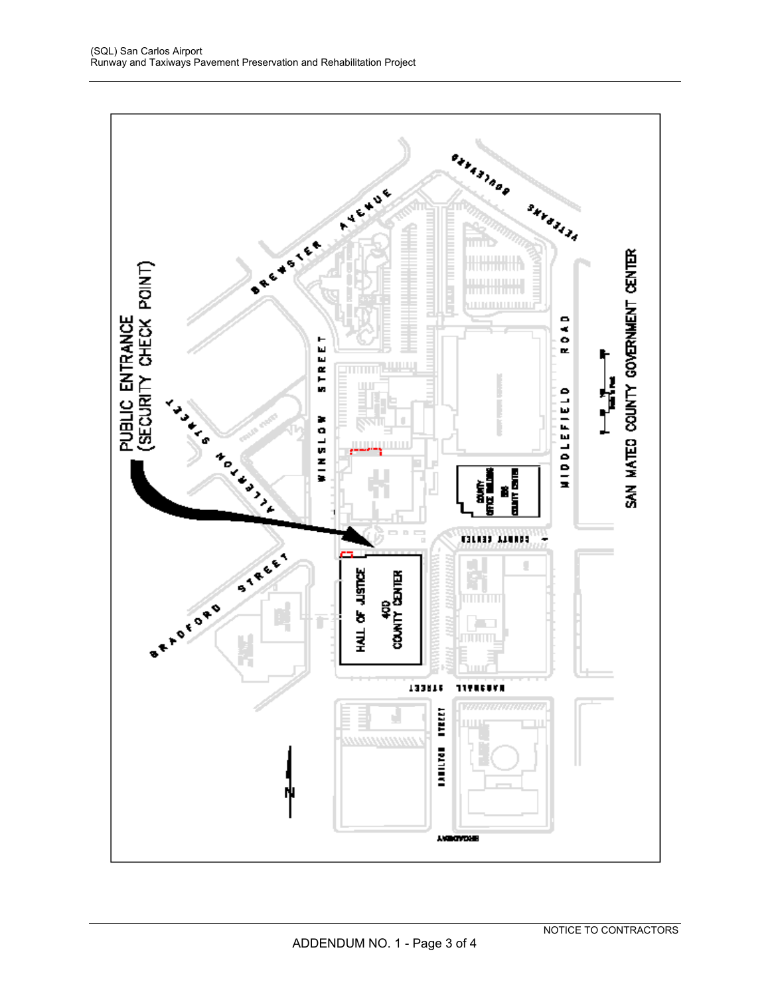